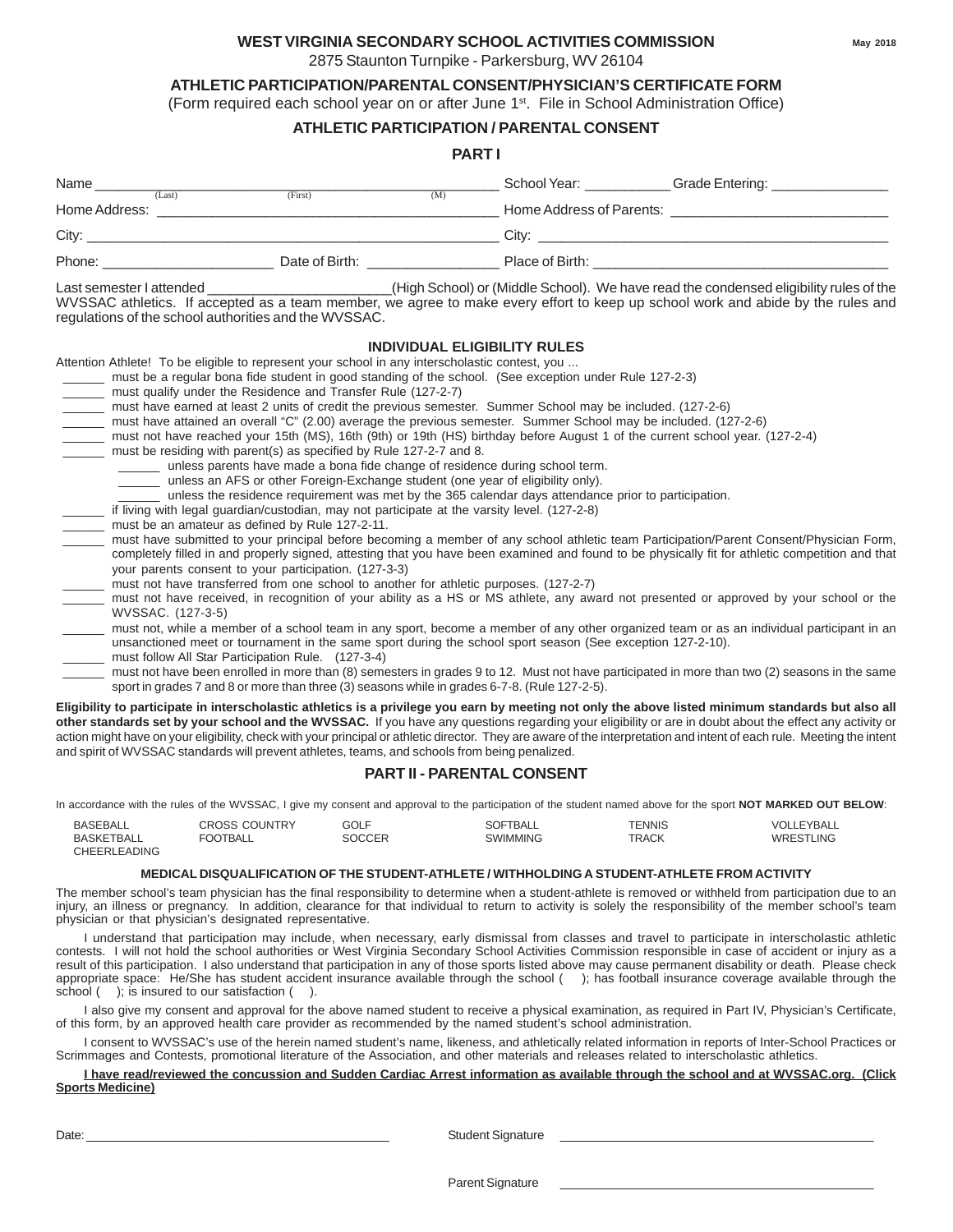#### **WEST VIRGINIA SECONDARY SCHOOL ACTIVITIES COMMISSION**

2875 Staunton Turnpike - Parkersburg, WV 26104

#### **ATHLETIC PARTICIPATION/PARENTAL CONSENT/PHYSICIAN'S CERTIFICATE FORM**

(Form required each school year on or after June 1<sup>st</sup>. File in School Administration Office)

#### **ATHLETIC PARTICIPATION / PARENTAL CONSENT**

#### **PART I**

| Name          | (Last) | (First)        | (M) | School Year:             | Grade Entering: |
|---------------|--------|----------------|-----|--------------------------|-----------------|
| Home Address: |        |                |     | Home Address of Parents: |                 |
| City:         |        |                |     | Citv:                    |                 |
| Phone:        |        | Date of Birth: |     | Place of Birth:          |                 |

Last semester I attended \_\_\_\_\_\_\_\_\_\_\_\_\_\_\_\_\_\_\_\_\_\_\_\_(High School) or (Middle School). We have read the condensed eligibility rules of the WVSSAC athletics. If accepted as a team member, we agree to make every effort to keep up school work and abide by the rules and regulations of the school authorities and the WVSSAC.

#### **INDIVIDUAL ELIGIBILITY RULES**

Attention Athlete! To be eligible to represent your school in any interscholastic contest, you ...

- must be a regular bona fide student in good standing of the school. (See exception under Rule 127-2-3)
- must qualify under the Residence and Transfer Rule (127-2-7)
- \_\_\_\_\_\_ must have earned at least 2 units of credit the previous semester. Summer School may be included. (127-2-6)
- \_\_\_\_\_\_ must have attained an overall "C" (2.00) average the previous semester. Summer School may be included. (127-2-6)
- must not have reached your 15th (MS), 16th (9th) or 19th (HS) birthday before August 1 of the current school year. (127-2-4)
- must be residing with parent(s) as specified by Rule 127-2-7 and 8.
	- \_\_\_\_\_\_ unless parents have made a bona fide change of residence during school term.
	- \_\_\_\_\_\_ unless an AFS or other Foreign-Exchange student (one year of eligibility only).
	- \_\_\_\_\_\_ unless the residence requirement was met by the 365 calendar days attendance prior to participation.
- if living with legal guardian/custodian, may not participate at the varsity level. (127-2-8)
- must be an amateur as defined by Rule 127-2-11.
- must have submitted to your principal before becoming a member of any school athletic team Participation/Parent Consent/Physician Form, completely filled in and properly signed, attesting that you have been examined and found to be physically fit for athletic competition and that your parents consent to your participation. (127-3-3)
- must not have transferred from one school to another for athletic purposes. (127-2-7)
- \_\_\_\_\_\_ must not have received, in recognition of your ability as a HS or MS athlete, any award not presented or approved by your school or the WVSSAC. (127-3-5)
- must not, while a member of a school team in any sport, become a member of any other organized team or as an individual participant in an unsanctioned meet or tournament in the same sport during the school sport season (See exception 127-2-10).
- must follow All Star Participation Rule. (127-3-4)
- must not have been enrolled in more than (8) semesters in grades 9 to 12. Must not have participated in more than two (2) seasons in the same sport in grades 7 and 8 or more than three (3) seasons while in grades 6-7-8. (Rule 127-2-5).

**Eligibility to participate in interscholastic athletics is a privilege you earn by meeting not only the above listed minimum standards but also all other standards set by your school and the WVSSAC.** If you have any questions regarding your eligibility or are in doubt about the effect any activity or action might have on your eligibility, check with your principal or athletic director. They are aware of the interpretation and intent of each rule. Meeting the intent and spirit of WVSSAC standards will prevent athletes, teams, and schools from being penalized.

#### **PART II - PARENTAL CONSENT**

In accordance with the rules of the WVSSAC, I give my consent and approval to the participation of the student named above for the sport **NOT MARKED OUT BELOW**:

| <b>BASEBALL</b>   | <b>CROSS COUNTRY</b> | GOLF   | <b>SOFTBALL</b> | TENNIS       | VOLLEYBALL |
|-------------------|----------------------|--------|-----------------|--------------|------------|
| <b>BASKETBALL</b> | <b>FOOTBALL</b>      | SOCCER | <b>SWIMMING</b> | <b>TRACK</b> | WRESTLING  |
| CHEERI FADING     |                      |        |                 |              |            |

#### **MEDICAL DISQUALIFICATION OF THE STUDENT-ATHLETE / WITHHOLDING A STUDENT-ATHLETE FROM ACTIVITY**

The member school's team physician has the final responsibility to determine when a student-athlete is removed or withheld from participation due to an injury, an illness or pregnancy. In addition, clearance for that individual to return to activity is solely the responsibility of the member school's team physician or that physician's designated representative.

I understand that participation may include, when necessary, early dismissal from classes and travel to participate in interscholastic athletic contests. I will not hold the school authorities or West Virginia Secondary School Activities Commission responsible in case of accident or injury as a result of this participation. I also understand that participation in any of those sports listed above may cause permanent disability or death. Please check appropriate space: He/She has student accident insurance available through the school ( ); has football insurance coverage available through the school ( ); is insured to our satisfaction ( ).

I also give my consent and approval for the above named student to receive a physical examination, as required in Part IV, Physician's Certificate, of this form, by an approved health care provider as recommended by the named student's school administration.

I consent to WVSSAC's use of the herein named student's name, likeness, and athletically related information in reports of Inter-School Practices or Scrimmages and Contests, promotional literature of the Association, and other materials and releases related to interscholastic athletics.

#### **I have read/reviewed the concussion and Sudden Cardiac Arrest information as available through the school and at WVSSAC.org. (Click Sports Medicine)**

Date: \_\_\_\_\_\_\_\_\_\_\_\_\_\_\_\_\_\_\_\_\_\_\_\_\_\_\_\_\_\_\_\_\_\_\_\_\_\_\_\_\_\_\_\_\_\_ Student Signature \_\_\_\_\_\_\_\_\_\_\_\_\_\_\_\_\_\_\_\_\_\_\_\_\_\_\_\_\_\_\_\_\_\_\_\_\_\_\_\_\_\_\_\_\_\_\_\_

Parent Signature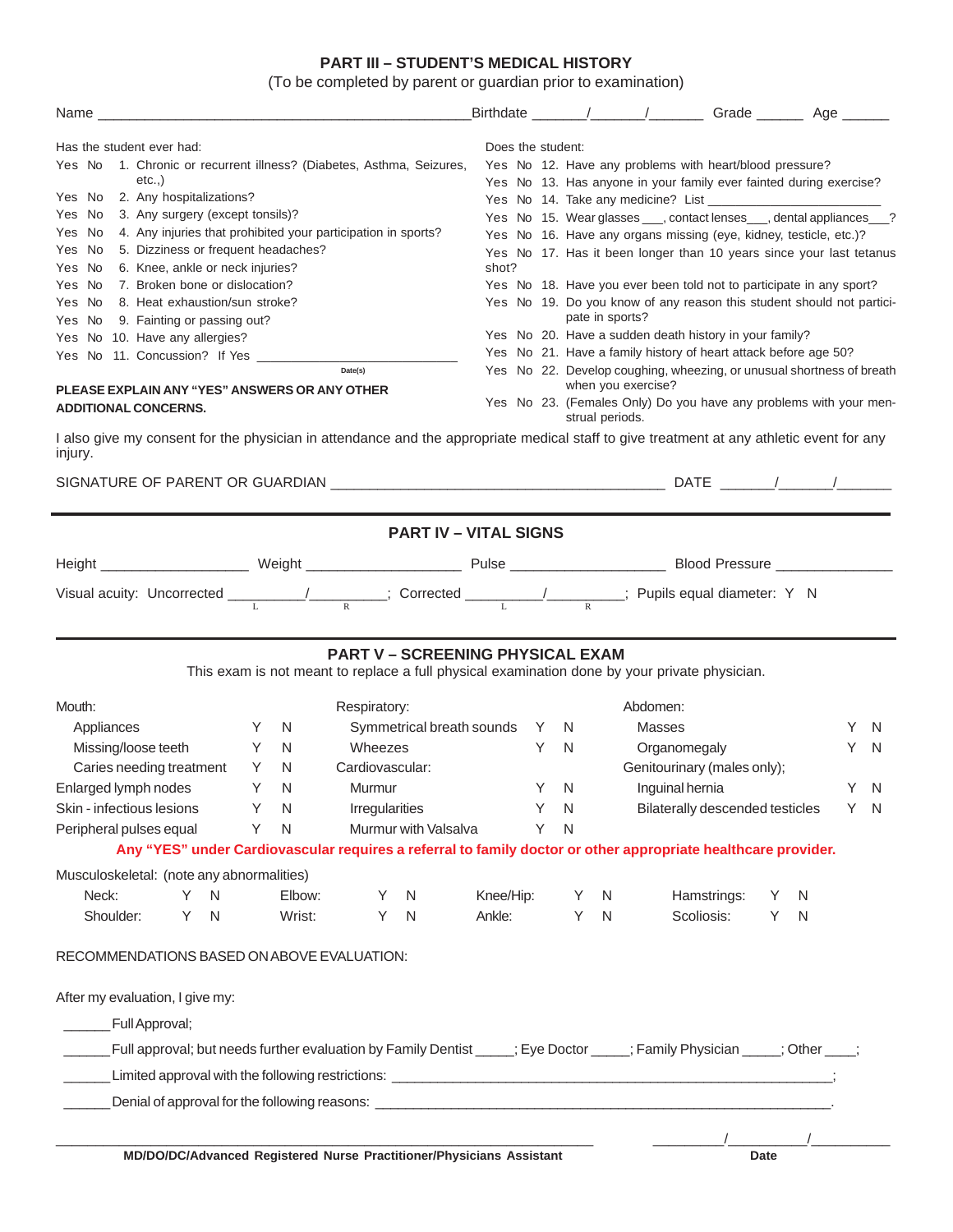#### **PART III – STUDENT'S MEDICAL HISTORY**

(To be completed by parent or guardian prior to examination)

| Name experience and a series of the contract of the contract of the contract of the contract of the contract of the contract of the contract of the contract of the contract of the contract of the contract of the contract o |                                                                                          |    |                   |                                                                                         |                                 |   |   |    |     |
|--------------------------------------------------------------------------------------------------------------------------------------------------------------------------------------------------------------------------------|------------------------------------------------------------------------------------------|----|-------------------|-----------------------------------------------------------------------------------------|---------------------------------|---|---|----|-----|
| Has the student ever had:                                                                                                                                                                                                      | Does the student:                                                                        |    |                   |                                                                                         |                                 |   |   |    |     |
| Yes No 1. Chronic or recurrent illness? (Diabetes, Asthma, Seizures,                                                                                                                                                           |                                                                                          |    |                   | Yes No 12. Have any problems with heart/blood pressure?                                 |                                 |   |   |    |     |
| etc.,                                                                                                                                                                                                                          |                                                                                          |    |                   | Yes No 13. Has anyone in your family ever fainted during exercise?                      |                                 |   |   |    |     |
| 2. Any hospitalizations?<br>Yes No                                                                                                                                                                                             |                                                                                          |    |                   |                                                                                         |                                 |   |   |    |     |
| 3. Any surgery (except tonsils)?<br>Yes No                                                                                                                                                                                     |                                                                                          |    |                   | Yes No 15. Wear glasses ____, contact lenses ___, dental appliances ___?                |                                 |   |   |    |     |
| 4. Any injuries that prohibited your participation in sports?<br>Yes No                                                                                                                                                        |                                                                                          |    |                   | Yes No 16. Have any organs missing (eye, kidney, testicle, etc.)?                       |                                 |   |   |    |     |
| 5. Dizziness or frequent headaches?<br>Yes No                                                                                                                                                                                  |                                                                                          |    |                   | Yes No 17. Has it been longer than 10 years since your last tetanus                     |                                 |   |   |    |     |
| 6. Knee, ankle or neck injuries?<br>Yes No<br>7. Broken bone or dislocation?<br>Yes No                                                                                                                                         | shot?                                                                                    |    |                   | Yes No 18. Have you ever been told not to participate in any sport?                     |                                 |   |   |    |     |
| 8. Heat exhaustion/sun stroke?<br>Yes No                                                                                                                                                                                       |                                                                                          |    |                   |                                                                                         |                                 |   |   |    |     |
| 9. Fainting or passing out?<br>Yes No                                                                                                                                                                                          | Yes No 19. Do you know of any reason this student should not partici-<br>pate in sports? |    |                   |                                                                                         |                                 |   |   |    |     |
| Yes No 10. Have any allergies?                                                                                                                                                                                                 | Yes No 20. Have a sudden death history in your family?                                   |    |                   |                                                                                         |                                 |   |   |    |     |
| Yes No 11. Concussion? If Yes ___________                                                                                                                                                                                      |                                                                                          |    |                   | Yes No 21. Have a family history of heart attack before age 50?                         |                                 |   |   |    |     |
| Date(s)                                                                                                                                                                                                                        |                                                                                          |    |                   | Yes No 22. Develop coughing, wheezing, or unusual shortness of breath                   |                                 |   |   |    |     |
| PLEASE EXPLAIN ANY "YES" ANSWERS OR ANY OTHER                                                                                                                                                                                  |                                                                                          |    |                   | when you exercise?<br>Yes No 23. (Females Only) Do you have any problems with your men- |                                 |   |   |    |     |
| <b>ADDITIONAL CONCERNS.</b>                                                                                                                                                                                                    |                                                                                          |    | strual periods.   |                                                                                         |                                 |   |   |    |     |
| I also give my consent for the physician in attendance and the appropriate medical staff to give treatment at any athletic event for any                                                                                       |                                                                                          |    |                   |                                                                                         |                                 |   |   |    |     |
| injury.                                                                                                                                                                                                                        |                                                                                          |    |                   |                                                                                         |                                 |   |   |    |     |
|                                                                                                                                                                                                                                |                                                                                          |    |                   |                                                                                         |                                 |   |   |    |     |
|                                                                                                                                                                                                                                |                                                                                          |    |                   |                                                                                         |                                 |   |   |    |     |
|                                                                                                                                                                                                                                |                                                                                          |    |                   |                                                                                         |                                 |   |   |    |     |
| <b>PART IV - VITAL SIGNS</b>                                                                                                                                                                                                   |                                                                                          |    |                   |                                                                                         |                                 |   |   |    |     |
|                                                                                                                                                                                                                                |                                                                                          |    |                   |                                                                                         |                                 |   |   |    |     |
| Visual acuity: Uncorrected $\frac{1}{\sqrt{N}}$ / Corrected $\frac{1}{\sqrt{N}}$ / Pupils equal diameter: Y N                                                                                                                  |                                                                                          |    |                   |                                                                                         |                                 |   |   |    |     |
|                                                                                                                                                                                                                                |                                                                                          |    |                   |                                                                                         |                                 |   |   |    |     |
|                                                                                                                                                                                                                                |                                                                                          |    |                   |                                                                                         |                                 |   |   |    |     |
| <b>PART V - SCREENING PHYSICAL EXAM</b>                                                                                                                                                                                        |                                                                                          |    |                   |                                                                                         |                                 |   |   |    |     |
| This exam is not meant to replace a full physical examination done by your private physician.                                                                                                                                  |                                                                                          |    |                   |                                                                                         |                                 |   |   |    |     |
| Mouth:<br>Respiratory:                                                                                                                                                                                                         |                                                                                          |    |                   | Abdomen:                                                                                |                                 |   |   |    |     |
| Symmetrical breath sounds Y N<br>Appliances<br>Y<br>N.                                                                                                                                                                         |                                                                                          |    |                   | Masses                                                                                  |                                 |   |   | Y  | N   |
| Missing/loose teeth<br>Y<br>Wheezes<br>N.                                                                                                                                                                                      | Y                                                                                        | N. |                   | Organomegaly                                                                            |                                 |   |   | Y. | N   |
| Cardiovascular:<br>Caries needing treatment<br>Y<br>N.                                                                                                                                                                         |                                                                                          |    |                   | Genitourinary (males only);                                                             |                                 |   |   |    |     |
| Enlarged lymph nodes<br>Y<br>Murmur                                                                                                                                                                                            | Y                                                                                        | N  |                   |                                                                                         |                                 |   |   | Y. | -N  |
| N                                                                                                                                                                                                                              |                                                                                          |    |                   | Inguinal hernia                                                                         |                                 |   |   |    |     |
| Skin - infectious lesions<br>Irregularities<br>Y<br>N                                                                                                                                                                          | Y                                                                                        | N  |                   |                                                                                         | Bilaterally descended testicles |   |   | Y. | - N |
| Murmur with Valsalva<br>Peripheral pulses equal<br>Y<br>N                                                                                                                                                                      | Y                                                                                        | N  |                   |                                                                                         |                                 |   |   |    |     |
| Any "YES" under Cardiovascular requires a referral to family doctor or other appropriate healthcare provider.                                                                                                                  |                                                                                          |    |                   |                                                                                         |                                 |   |   |    |     |
| Musculoskeletal: (note any abnormalities)                                                                                                                                                                                      |                                                                                          |    |                   |                                                                                         |                                 |   |   |    |     |
| Neck:<br>Y<br>Elbow:<br>N<br>Y<br>N                                                                                                                                                                                            | Knee/Hip:                                                                                |    | N<br>Y.           |                                                                                         | Hamstrings:                     | Y | N |    |     |
| Shoulder:<br>Y<br>Wrist:<br>Y<br>N<br>N                                                                                                                                                                                        | Ankle:                                                                                   |    | Y<br>$\mathsf{N}$ |                                                                                         | Scoliosis:                      | Y | N |    |     |
|                                                                                                                                                                                                                                |                                                                                          |    |                   |                                                                                         |                                 |   |   |    |     |
| RECOMMENDATIONS BASED ON ABOVE EVALUATION:                                                                                                                                                                                     |                                                                                          |    |                   |                                                                                         |                                 |   |   |    |     |
|                                                                                                                                                                                                                                |                                                                                          |    |                   |                                                                                         |                                 |   |   |    |     |
| After my evaluation, I give my:                                                                                                                                                                                                |                                                                                          |    |                   |                                                                                         |                                 |   |   |    |     |
| Full Approval;                                                                                                                                                                                                                 |                                                                                          |    |                   |                                                                                         |                                 |   |   |    |     |
| Full approval; but needs further evaluation by Family Dentist ____; Eye Doctor ____; Family Physician ____; Other ___;                                                                                                         |                                                                                          |    |                   |                                                                                         |                                 |   |   |    |     |
|                                                                                                                                                                                                                                |                                                                                          |    |                   |                                                                                         |                                 |   |   |    |     |
|                                                                                                                                                                                                                                |                                                                                          |    |                   |                                                                                         |                                 |   |   |    |     |
|                                                                                                                                                                                                                                |                                                                                          |    |                   |                                                                                         |                                 |   |   |    |     |
|                                                                                                                                                                                                                                |                                                                                          |    |                   |                                                                                         |                                 |   |   |    |     |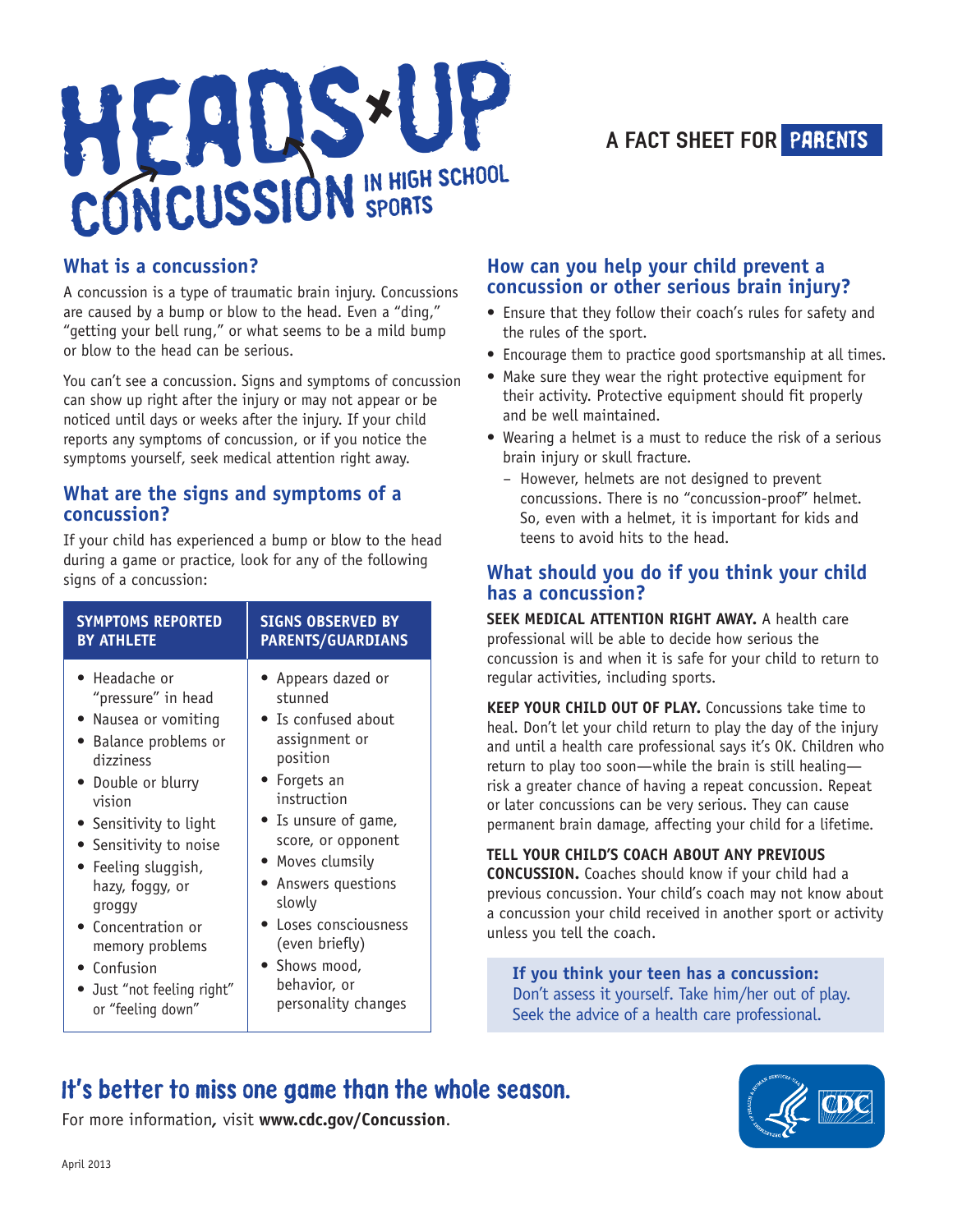



#### **What is a concussion?**

A concussion is a type of traumatic brain injury. Concussions are caused by a bump or blow to the head. Even a "ding," "getting your bell rung," or what seems to be a mild bump or blow to the head can be serious.

You can't see a concussion. Signs and symptoms of concussion can show up right after the injury or may not appear or be noticed until days or weeks after the injury. If your child reports any symptoms of concussion, or if you notice the symptoms yourself, seek medical attention right away.

#### **What are the signs and symptoms of a concussion?**

If your child has experienced a bump or blow to the head during a game or practice, look for any of the following signs of a concussion:

| <b>SYMPTOMS REPORTED</b> | <b>SIGNS OBSERVED BY</b> |
|--------------------------|--------------------------|
| <b>BY ATHLETE</b>        | <b>PARENTS/GUARDIANS</b> |
| • Headache or            | Appears dazed or         |
| "pressure" in head       | stunned                  |
| • Nausea or vomiting     | • Is confused about      |
| • Balance problems or    | assignment or            |
| dizziness                | position                 |
| • Double or blurry       | • Forgets an             |
| vision                   | instruction              |
| • Sensitivity to light   | • Is unsure of game,     |
| • Sensitivity to noise   | score, or opponent       |
| • Feeling sluggish,      | $\bullet$ Moves clumsily |
| hazy, foggy, or          | Answers questions        |
| groggy                   | slowly                   |
| Concentration or         | Loses consciousness      |
| memory problems          | (even briefly)           |
| • Confusion              | • Shows mood,            |
| Just "not feeling right" | behavior, or             |
| or "feeling down"        | personality changes      |

#### **How can you help your child prevent a concussion or other serious brain injury?**

- Ensure that they follow their coach's rules for safety and the rules of the sport.
- Encourage them to practice good sportsmanship at all times.
- Make sure they wear the right protective equipment for their activity. Protective equipment should fit properly and be well maintained.
- Wearing a helmet is a must to reduce the risk of a serious brain injury or skull fracture.
	- However, helmets are not designed to prevent concussions. There is no "concussion-proof" helmet. So, even with a helmet, it is important for kids and teens to avoid hits to the head.

#### **What should you do if you think your child has a concussion?**

**SEEK MEDICAL ATTENTION RIGHT AWAY.** A health care professional will be able to decide how serious the concussion is and when it is safe for your child to return to regular activities, including sports.

**KEEP YOUR CHILD OUT OF PLAY.** Concussions take time to heal. Don't let your child return to play the day of the injury and until a health care professional says it's OK. Children who return to play too soon—while the brain is still healing risk a greater chance of having a repeat concussion. Repeat or later concussions can be very serious. They can cause permanent brain damage, affecting your child for a lifetime.

#### **TELL YOUR CHILD'S COACH ABOUT ANY PREVIOUS**

**CONCUSSION.** Coaches should know if your child had a previous concussion. Your child's coach may not know about a concussion your child received in another sport or activity unless you tell the coach.

**If you think your teen has a concussion:** Don't assess it yourself. Take him/her out of play. Seek the advice of a health care professional.

It's better to miss one game than the whole season. For more information*,* visit **www.cdc.gov/Concussion**.

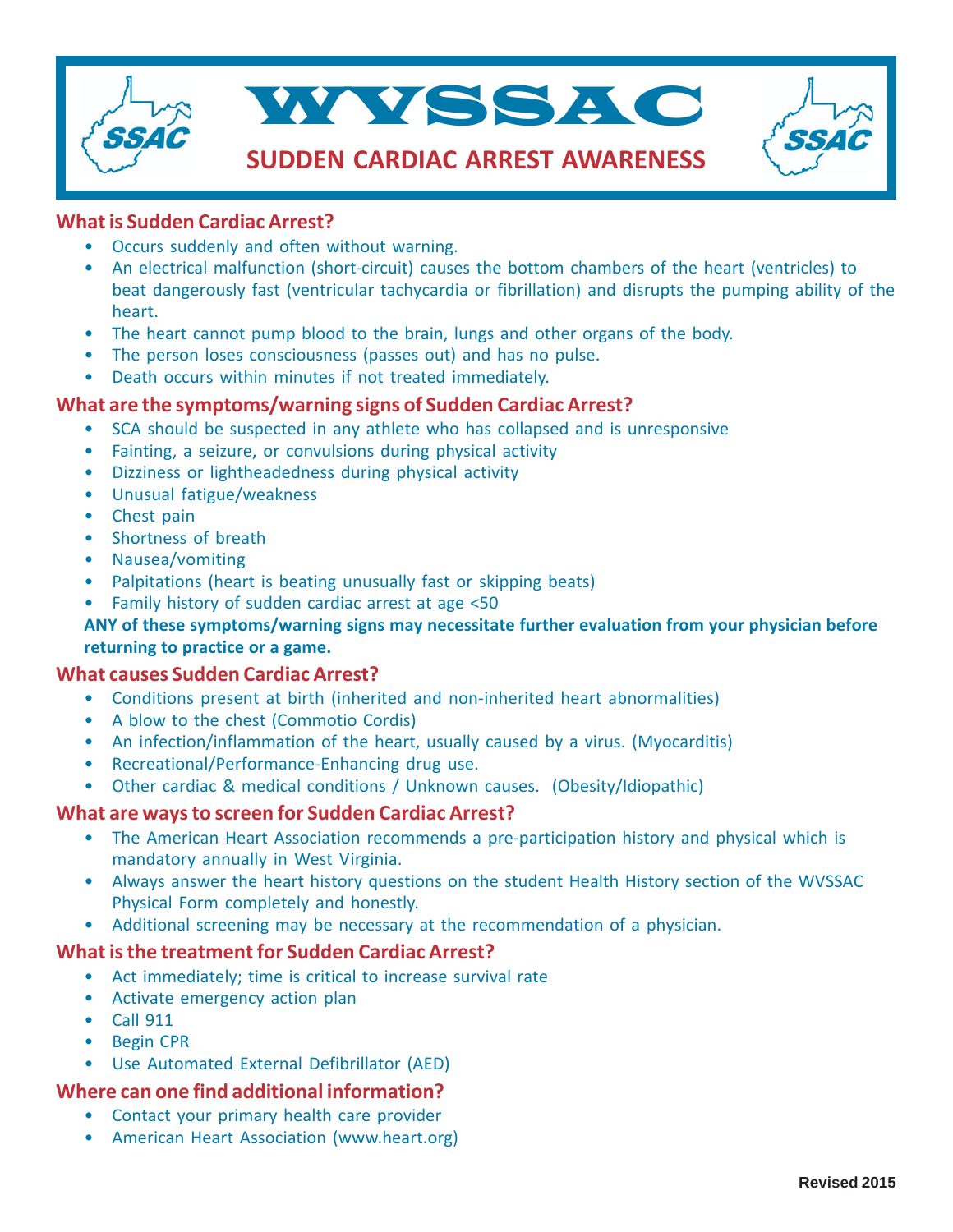

#### **What is Sudden Cardiac Arrest?**

- Occurs suddenly and often without warning.
- An electrical malfunction (short-circuit) causes the bottom chambers of the heart (ventricles) to beat dangerously fast (ventricular tachycardia or fibrillation) and disrupts the pumping ability of the heart.
- The heart cannot pump blood to the brain, lungs and other organs of the body.
- The person loses consciousness (passes out) and has no pulse.
- Death occurs within minutes if not treated immediately.

#### **What are the symptoms/warning signs of Sudden Cardiac Arrest?**

- SCA should be suspected in any athlete who has collapsed and is unresponsive
- Fainting, a seizure, or convulsions during physical activity
- Dizziness or lightheadedness during physical activity
- Unusual fatigue/weakness
- Chest pain
- Shortness of breath
- Nausea/vomiting
- Palpitations (heart is beating unusually fast or skipping beats)
- Family history of sudden cardiac arrest at age <50

#### **ANY of these symptoms/warning signs may necessitate further evaluation from your physician before returning to practice or a game.**

#### **What causes Sudden Cardiac Arrest?**

- Conditions present at birth (inherited and non-inherited heart abnormalities)
- A blow to the chest (Commotio Cordis)
- An infection/inflammation of the heart, usually caused by a virus. (Myocarditis)
- Recreational/Performance-Enhancing drug use.
- Other cardiac & medical conditions / Unknown causes. (Obesity/Idiopathic)

#### **What are ways to screen for Sudden Cardiac Arrest?**

- The American Heart Association recommends a pre-participation history and physical which is mandatory annually in West Virginia.
- Always answer the heart history questions on the student Health History section of the WVSSAC Physical Form completely and honestly.
- Additional screening may be necessary at the recommendation of a physician.

#### **What is the treatment for Sudden Cardiac Arrest?**

- Act immediately; time is critical to increase survival rate
- Activate emergency action plan
- Call 911
- Begin CPR
- Use Automated External Defibrillator (AED)

#### **Where can one find additional information?**

- Contact your primary health care provider
- American Heart Association (www.heart.org)